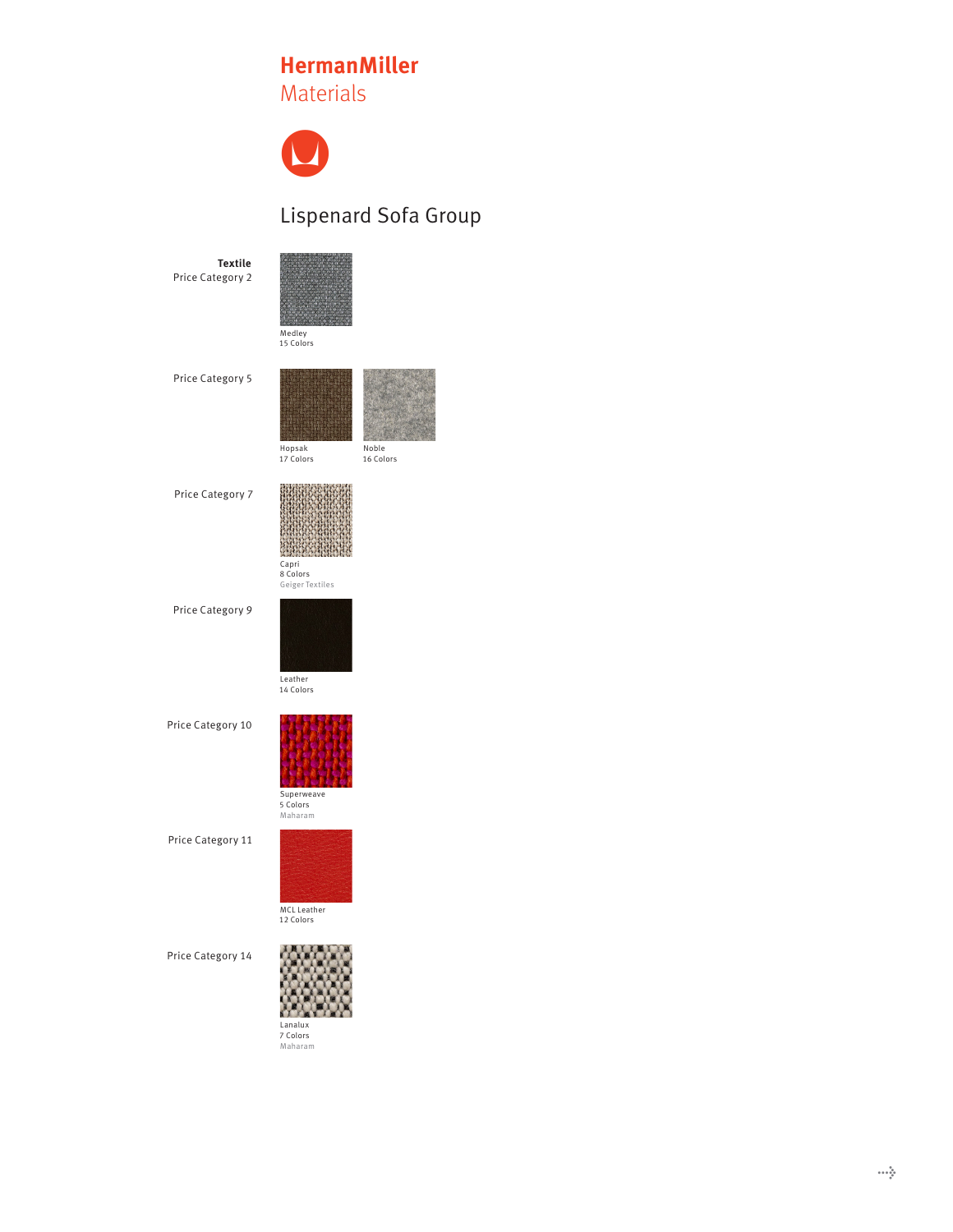## **HermanMiller HermanMiller HermanMiller**Materials Materials Materials

 $\bullet$  $\bullet$ 

## Lispenard Sofa Group

**Textile** Price Category 2

Medley<br>15 Colors

Price Category 5



Hopsak<br>17 Colors

Price Category 7



Capri 8 Colors Geiger Textiles C<mark>apri</mark><br>8 Colors<br>Geiger Textiles

Price Category 9



Price Category 10 **Armpads** 



Superweave 5 Colors Maharam Superweave<br>5 Colors

Price Category 11



Price Category 14



Lanalux<br>7 Colors<br>Maharam